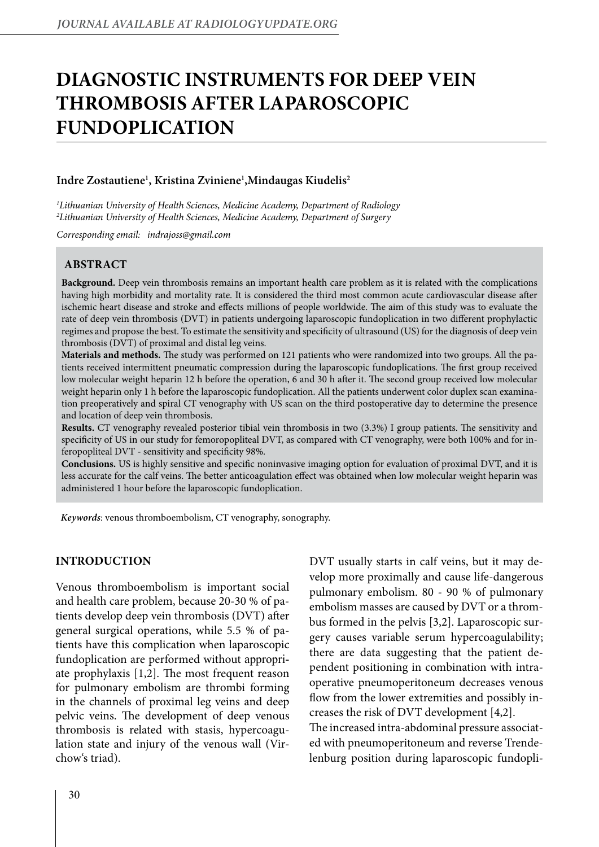# **DIAGNOSTIC INSTRUMENTS FOR DEEP VEIN THROMBOSIS AFTER LAPAROSCOPIC FUNDOPLICATION**

## **Indre Zostautiene1 , Kristina Zviniene1 ,Mindaugas Kiudelis2**

*1 Lithuanian University of Health Sciences, Medicine Academy, Department of Radiology 2 Lithuanian University of Health Sciences, Medicine Academy, Department of Surgery*

*Corresponding email: indrajoss@gmail.com* 

#### **ABSTRACT**

**Background.** Deep vein thrombosis remains an important health care problem as it is related with the complications having high morbidity and mortality rate. It is considered the third most common acute cardiovascular disease after ischemic heart disease and stroke and effects millions of people worldwide. The aim of this study was to evaluate the rate of deep vein thrombosis (DVT) in patients undergoing laparoscopic fundoplication in two different prophylactic regimes and propose the best. To estimate the sensitivity and specificity of ultrasound (US) for the diagnosis of deep vein thrombosis (DVT) of proximal and distal leg veins.

**Materials and methods.** The study was performed on 121 patients who were randomized into two groups. All the patients received intermittent pneumatic compression during the laparoscopic fundoplications. The first group received low molecular weight heparin 12 h before the operation, 6 and 30 h after it. The second group received low molecular weight heparin only 1 h before the laparoscopic fundoplication. All the patients underwent color duplex scan examination preoperatively and spiral CT venography with US scan on the third postoperative day to determine the presence and location of deep vein thrombosis.

**Results.** CT venography revealed posterior tibial vein thrombosis in two (3.3%) I group patients. The sensitivity and specificity of US in our study for femoropopliteal DVT, as compared with CT venography, were both 100% and for inferopopliteal DVT - sensitivity and specificity 98%.

**Conclusions.** US is highly sensitive and specific noninvasive imaging option for evaluation of proximal DVT, and it is less accurate for the calf veins. The better anticoagulation effect was obtained when low molecular weight heparin was administered 1 hour before the laparoscopic fundoplication.

*Keywords*: venous thromboembolism, CT venography, sonography.

#### **INTRODUCTION**

Venous thromboembolism is important social and health care problem, because 20-30 % of patients develop deep vein thrombosis (DVT) after general surgical operations, while 5.5 % of patients have this complication when laparoscopic fundoplication are performed without appropriate prophylaxis [1,2]. The most frequent reason for pulmonary embolism are thrombi forming in the channels of proximal leg veins and deep pelvic veins. The development of deep venous thrombosis is related with stasis, hypercoagulation state and injury of the venous wall (Virchow's triad).

DVT usually starts in calf veins, but it may develop more proximally and cause life-dangerous pulmonary embolism. 80 - 90 % of pulmonary embolism masses are caused by DVT or a thrombus formed in the pelvis [3,2]. Laparoscopic surgery causes variable serum hypercoagulability; there are data suggesting that the patient dependent positioning in combination with intraoperative pneumoperitoneum decreases venous flow from the lower extremities and possibly increases the risk of DVT development [4,2]. The increased intra-abdominal pressure associated with pneumoperitoneum and reverse Trende-

lenburg position during laparoscopic fundopli-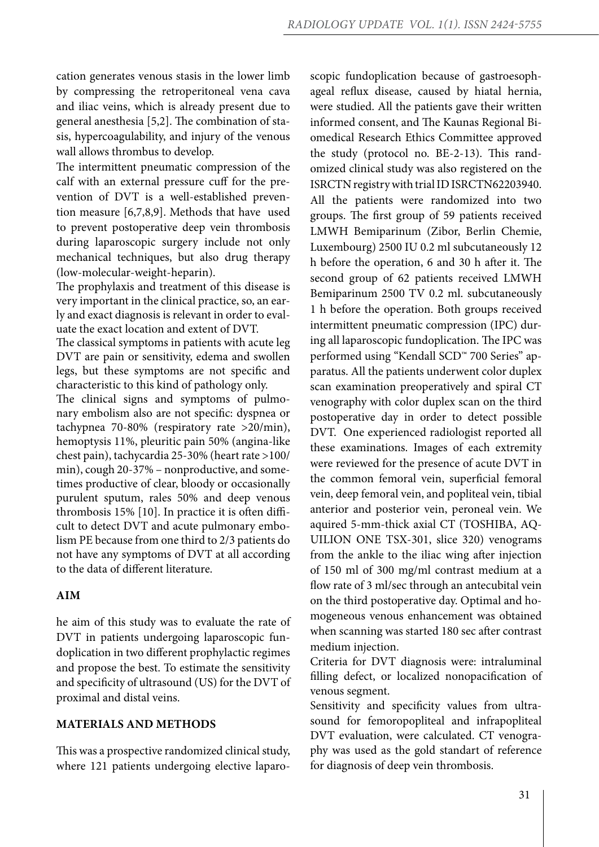cation generates venous stasis in the lower limb by compressing the retroperitoneal vena cava and iliac veins, which is already present due to general anesthesia [5,2]. The combination of stasis, hypercoagulability, and injury of the venous wall allows thrombus to develop.

The intermittent pneumatic compression of the calf with an external pressure cuff for the prevention of DVT is a well-established prevention measure [6,7,8,9]. Methods that have used to prevent postoperative deep vein thrombosis during laparoscopic surgery include not only mechanical techniques, but also drug therapy (low-molecular-weight-heparin).

The prophylaxis and treatment of this disease is very important in the clinical practice, so, an early and exact diagnosis is relevant in order to evaluate the exact location and extent of DVT.

The classical symptoms in patients with acute leg DVT are pain or sensitivity, edema and swollen legs, but these symptoms are not specific and characteristic to this kind of pathology only.

The clinical signs and symptoms of pulmonary embolism also are not specific: dyspnea or tachypnea 70-80% (respiratory rate >20/min), hemoptysis 11%, pleuritic pain 50% (angina-like chest pain), tachycardia 25-30% (heart rate >100/ min), cough 20-37% – nonproductive, and sometimes productive of clear, bloody or occasionally purulent sputum, rales 50% and deep venous thrombosis 15% [10]. In practice it is often difficult to detect DVT and acute pulmonary embolism PE because from one third to 2/3 patients do not have any symptoms of DVT at all according to the data of different literature.

# **AIM**

he aim of this study was to evaluate the rate of DVT in patients undergoing laparoscopic fundoplication in two different prophylactic regimes and propose the best. To estimate the sensitivity and specificity of ultrasound (US) for the DVT of proximal and distal veins.

## **MATERIALS AND METHODS**

This was a prospective randomized clinical study, where 121 patients undergoing elective laparoscopic fundoplication because of gastroesophageal reflux disease, caused by hiatal hernia, were studied. All the patients gave their written informed consent, and The Kaunas Regional Biomedical Research Ethics Committee approved the study (protocol no. BE-2-13). This randomized clinical study was also registered on the ISRCTN registry with trial ID ISRCTN62203940. All the patients were randomized into two groups. The first group of 59 patients received LMWH Bemiparinum (Zibor, Berlin Chemie, Luxembourg) 2500 IU 0.2 ml subcutaneously 12 h before the operation, 6 and 30 h after it. The second group of 62 patients received LMWH Bemiparinum 2500 TV 0.2 ml. subcutaneously 1 h before the operation. Both groups received intermittent pneumatic compression (IPC) during all laparoscopic fundoplication. The IPC was performed using "Kendall SCD™ 700 Series" apparatus. All the patients underwent color duplex scan examination preoperatively and spiral CT venography with color duplex scan on the third postoperative day in order to detect possible DVT. One experienced radiologist reported all these examinations. Images of each extremity were reviewed for the presence of acute DVT in the common femoral vein, superficial femoral vein, deep femoral vein, and popliteal vein, tibial anterior and posterior vein, peroneal vein. We aquired 5-mm-thick axial CT (TOSHIBA, AQ-UILION ONE TSX-301, slice 320) venograms from the ankle to the iliac wing after injection of 150 ml of 300 mg/ml contrast medium at a flow rate of 3 ml/sec through an antecubital vein on the third postoperative day. Optimal and homogeneous venous enhancement was obtained when scanning was started 180 sec after contrast medium injection.

Criteria for DVT diagnosis were: intraluminal filling defect, or localized nonopacification of venous segment.

Sensitivity and specificity values from ultrasound for femoropopliteal and infrapopliteal DVT evaluation, were calculated. CT venography was used as the gold standart of reference for diagnosis of deep vein thrombosis.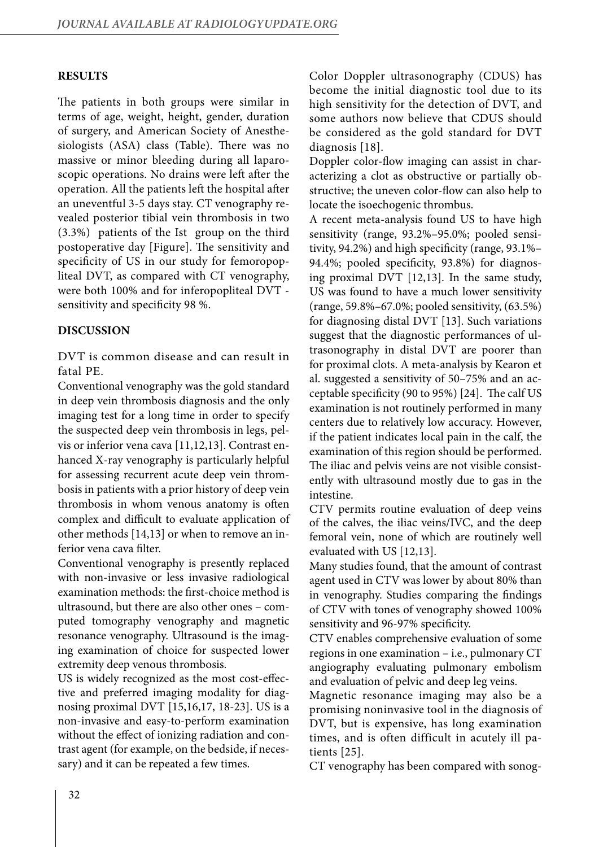## **RESULTS**

The patients in both groups were similar in terms of age, weight, height, gender, duration of surgery, and American Society of Anesthesiologists (ASA) class (Table). There was no massive or minor bleeding during all laparoscopic operations. No drains were left after the operation. All the patients left the hospital after an uneventful 3-5 days stay. CT venography revealed posterior tibial vein thrombosis in two (3.3%) patients of the Ist group on the third postoperative day [Figure]. The sensitivity and specificity of US in our study for femoropopliteal DVT, as compared with CT venography, were both 100% and for inferopopliteal DVT sensitivity and specificity 98 %.

#### **DISCUSSION**

DVT is common disease and can result in fatal PE.

Conventional venography was the gold standard in deep vein thrombosis diagnosis and the only imaging test for a long time in order to specify the suspected deep vein thrombosis in legs, pelvis or inferior vena cava [11,12,13]. Contrast enhanced X-ray venography is particularly helpful for assessing recurrent acute deep vein thrombosis in patients with a prior history of deep vein thrombosis in whom venous anatomy is often complex and difficult to evaluate application of other methods [14,13] or when to remove an inferior vena cava filter.

Conventional venography is presently replaced with non-invasive or less invasive radiological examination methods: the first-choice method is ultrasound, but there are also other ones – computed tomography venography and magnetic resonance venography. Ultrasound is the imaging examination of choice for suspected lower extremity deep venous thrombosis.

US is widely recognized as the most cost-effective and preferred imaging modality for diagnosing proximal DVT [15,16,17, 18-23]. US is a non-invasive and easy-to-perform examination without the effect of ionizing radiation and contrast agent (for example, on the bedside, if necessary) and it can be repeated a few times.

Color Doppler ultrasonography (CDUS) has become the initial diagnostic tool due to its high sensitivity for the detection of DVT, and some authors now believe that CDUS should be considered as the gold standard for DVT diagnosis [18].

Doppler color-flow imaging can assist in characterizing a clot as obstructive or partially obstructive; the uneven color-flow can also help to locate the isoechogenic thrombus.

A recent meta-analysis found US to have high sensitivity (range, 93.2%–95.0%; pooled sensitivity, 94.2%) and high specificity (range, 93.1%– 94.4%; pooled specificity, 93.8%) for diagnosing proximal DVT [12,13]. In the same study, US was found to have a much lower sensitivity (range, 59.8%–67.0%; pooled sensitivity, (63.5%) for diagnosing distal DVT [13]. Such variations suggest that the diagnostic performances of ultrasonography in distal DVT are poorer than for proximal clots. A meta-analysis by Kearon et al. suggested a sensitivity of 50–75% and an acceptable specificity (90 to 95%) [24]. The calf US examination is not routinely performed in many centers due to relatively low accuracy. However, if the patient indicates local pain in the calf, the examination of this region should be performed. The iliac and pelvis veins are not visible consistently with ultrasound mostly due to gas in the intestine.

CTV permits routine evaluation of deep veins of the calves, the iliac veins/IVC, and the deep femoral vein, none of which are routinely well evaluated with US [12,13].

Many studies found, that the amount of contrast agent used in CTV was lower by about 80% than in venography. Studies comparing the findings of CTV with tones of venography showed 100% sensitivity and 96-97% specificity.

CTV enables comprehensive evaluation of some regions in one examination – i.e., pulmonary CT angiography evaluating pulmonary embolism and evaluation of pelvic and deep leg veins.

Magnetic resonance imaging may also be a promising noninvasive tool in the diagnosis of DVT, but is expensive, has long examination times, and is often difficult in acutely ill patients [25].

CT venography has been compared with sonog-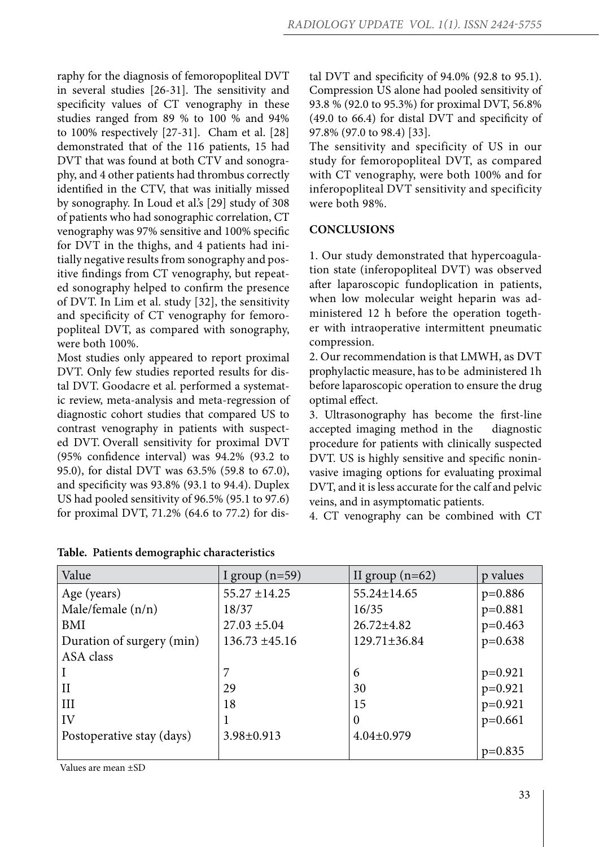raphy for the diagnosis of femoropopliteal DVT in several studies [26-31]. The sensitivity and specificity values of CT venography in these studies ranged from 89 % to 100 % and 94% to 100% respectively [27-31]. Cham et al. [28] demonstrated that of the 116 patients, 15 had DVT that was found at both CTV and sonography, and 4 other patients had thrombus correctly identified in the CTV, that was initially missed by sonography. In Loud et al.'s [29] study of 308 of patients who had sonographic correlation, CT venography was 97% sensitive and 100% specific for DVT in the thighs, and 4 patients had initially negative results from sonography and positive findings from CT venography, but repeated sonography helped to confirm the presence of DVT. In Lim et al. study [32], the sensitivity and specificity of CT venography for femoropopliteal DVT, as compared with sonography, were both 100%.

Most studies only appeared to report proximal DVT. Only few studies reported results for distal DVT. Goodacre et al. performed a systematic review, meta-analysis and meta-regression of diagnostic cohort studies that compared US to contrast venography in patients with suspected DVT. Overall sensitivity for proximal DVT (95% confidence interval) was 94.2% (93.2 to 95.0), for distal DVT was 63.5% (59.8 to 67.0), and specificity was 93.8% (93.1 to 94.4). Duplex US had pooled sensitivity of 96.5% (95.1 to 97.6) for proximal DVT, 71.2% (64.6 to 77.2) for distal DVT and specificity of 94.0% (92.8 to 95.1). Compression US alone had pooled sensitivity of 93.8 % (92.0 to 95.3%) for proximal DVT, 56.8% (49.0 to 66.4) for distal DVT and specificity of 97.8% (97.0 to 98.4) [33].

The sensitivity and specificity of US in our study for femoropopliteal DVT, as compared with CT venography, were both 100% and for inferopopliteal DVT sensitivity and specificity were both 98%.

# **CONCLUSIONS**

1. Our study demonstrated that hypercoagulation state (inferopopliteal DVT) was observed after laparoscopic fundoplication in patients, when low molecular weight heparin was administered 12 h before the operation together with intraoperative intermittent pneumatic compression.

2. Our recommendation is that LMWH, as DVT prophylactic measure, has to be administered 1h before laparoscopic operation to ensure the drug optimal effect.

3. Ultrasonography has become the first-line accepted imaging method in the diagnostic procedure for patients with clinically suspected DVT. US is highly sensitive and specific noninvasive imaging options for evaluating proximal DVT, and it is less accurate for the calf and pelvic veins, and in asymptomatic patients.

4. CT venography can be combined with CT

| Value                     | I group $(n=59)$   | II group $(n=62)$  | p values  |
|---------------------------|--------------------|--------------------|-----------|
| Age (years)               | $55.27 \pm 14.25$  | 55.24±14.65        | $p=0.886$ |
| Male/female (n/n)         | 18/37              | 16/35              | $p=0.881$ |
| BMI                       | $27.03 \pm 5.04$   | $26.72 \pm 4.82$   | $p=0.463$ |
| Duration of surgery (min) | $136.73 \pm 45.16$ | $129.71 \pm 36.84$ | $p=0.638$ |
| ASA class                 |                    |                    |           |
|                           | 7                  | 6                  | $p=0.921$ |
| $\rm II$                  | 29                 | 30                 | $p=0.921$ |
| III                       | 18                 | 15                 | $p=0.921$ |
| IV                        |                    | $\overline{0}$     | $p=0.661$ |
| Postoperative stay (days) | 3.98±0.913         | $4.04 \pm 0.979$   |           |
|                           |                    |                    | $p=0.835$ |

**Table. Patients demographic characteristics**

Values are mean ±SD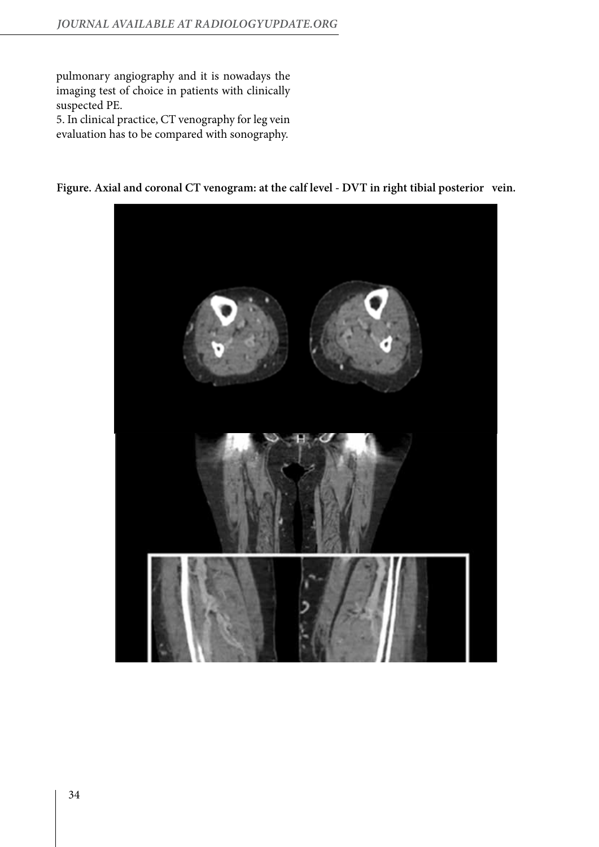pulmonary angiography and it is nowadays the imaging test of choice in patients with clinically suspected PE.

5. In clinical practice, CT venography for leg vein evaluation has to be compared with sonography.



**Figure. Axial and coronal CT venogram: at the calf level - DVT in right tibial posterior vein.**